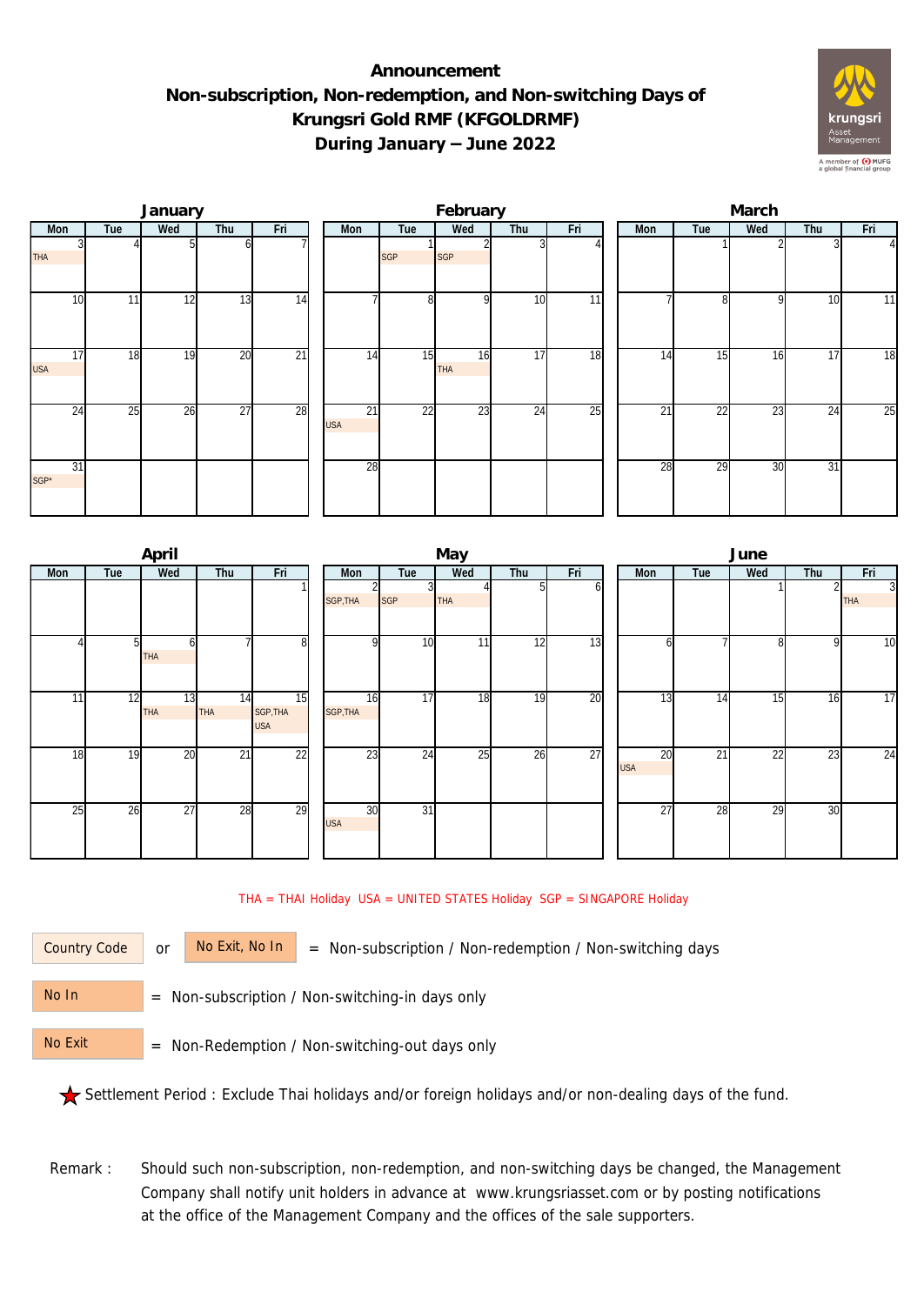## **Announcement Non-subscription, Non-redemption, and Non-switching Days of Krungsri Gold RMF (KFGOLDRMF) During January – June 2022**



|                  |     | January |                 |                 |                               |                | February         |     |     | March |                 |     |     |                |  |  |
|------------------|-----|---------|-----------------|-----------------|-------------------------------|----------------|------------------|-----|-----|-------|-----------------|-----|-----|----------------|--|--|
| Mon              | Tue | Wed     | Thu             | Fri             | Mon                           | Tue            | Wed              | Thu | Fri | Mon   | Tue             | Wed | Thu | Fri            |  |  |
| <b>THA</b>       |     |         |                 |                 |                               | <b>SGP</b>     | <b>SGP</b>       |     |     |       |                 |     |     | $\overline{4}$ |  |  |
| 10               | 11  | 12      | 13              | 14              |                               | 8 <sup>1</sup> | $\Omega$         | 10  | 11  |       | $\Omega$        | Q   | 10  | 11             |  |  |
| 17<br><b>USA</b> | 18  | 19      | 20              | $\overline{21}$ | 14                            | 15             | 16<br><b>THA</b> | 17  | 18  | 14    | 15              | 16  | 17  | 18             |  |  |
| 24               | 25  | 26      | $\overline{27}$ | 28              | $\overline{21}$<br><b>USA</b> | 22             | 23               | 24  | 25  | 21    | $\overline{22}$ | 23  | 24  | 25             |  |  |
| 31<br>$SGP^*$    |     |         |                 |                 | 28                            |                |                  |     |     | 28    | $\overline{29}$ | 30  | 31  |                |  |  |

|     |                | April            |                  |                              |                  |                 | May |     |     | June |                               |     |                 |              |                              |
|-----|----------------|------------------|------------------|------------------------------|------------------|-----------------|-----|-----|-----|------|-------------------------------|-----|-----------------|--------------|------------------------------|
| Mon | Tue            | Wed              | Thu              | Fri                          | Mon              | Tue             | Wed | Thu | Fri |      | Mon                           | Tue | Wed             | Thu          | Fri                          |
|     |                |                  |                  |                              | SGP, THA         | 3<br><b>SGP</b> | THA | 51  | оl  |      |                               |     |                 |              | $\overline{3}$<br><b>THA</b> |
|     | 5 <sub>l</sub> | h<br>THA         |                  | 8                            | n                | 10              | 11  | 12  | 13  |      | b                             |     | 8               | $\mathsf{Q}$ | $\overline{10}$              |
| 11  | 12             | 13<br><b>THA</b> | 14<br><b>THA</b> | 15<br>SGP, THA<br><b>USA</b> | 16<br>SGP, THA   | $\overline{17}$ | 18  | 19  | 20  |      | 13                            | 14  | 15              | 16           | $\overline{17}$              |
| 18  | 19             | 20               | 21               | $\overline{22}$              | 23               | 24              | 25  | 26  | 27  |      | $\overline{20}$<br><b>USA</b> | 21  | $\overline{22}$ | 23           | $\overline{24}$              |
| 25  | 26             | $\overline{27}$  | 28               | 29                           | 30<br><b>USA</b> | $\overline{31}$ |     |     |     |      | $\overline{27}$               | 28  | 29              | 30           |                              |

THA = THAI Holiday USA = UNITED STATES Holiday SGP = SINGAPORE Holiday

Country Code

or  $\overline{\phantom{a}}$  No Exit, No In  $\overline{\phantom{a}}$  = Non-subscription / Non-redemption / Non-switching days

 = Non-subscription / Non-switching-in days only No In

 = Non-Redemption / Non-switching-out days only No Exit

Settlement Period : Exclude Thai holidays and/or foreign holidays and/or non-dealing days of the fund.

Remark : Should such non-subscription, non-redemption, and non-switching days be changed, the Management Company shall notify unit holders in advance at www.krungsriasset.com or by posting notifications at the office of the Management Company and the offices of the sale supporters.